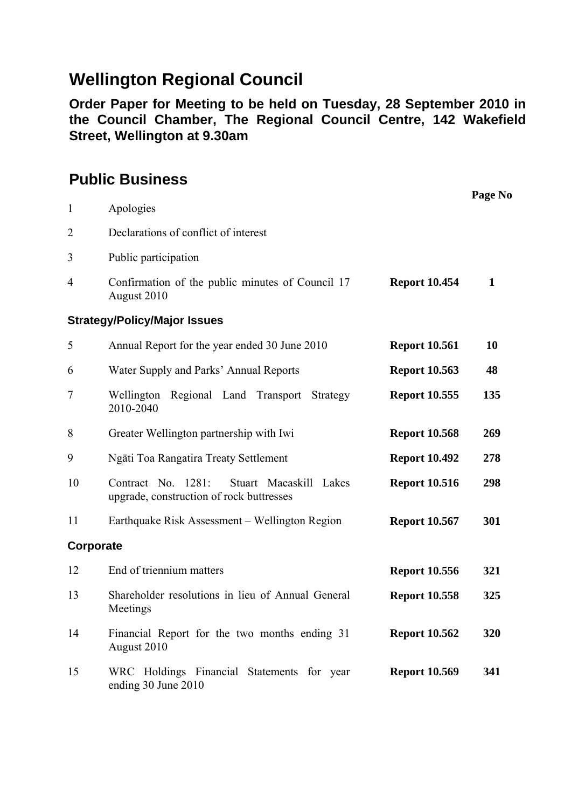## **Wellington Regional Council**

**Order Paper for Meeting to be held on Tuesday, 28 September 2010 in the Council Chamber, The Regional Council Centre, 142 Wakefield Street, Wellington at 9.30am** 

## **Public Business**

|                |                                                                                          |                      | Page No      |
|----------------|------------------------------------------------------------------------------------------|----------------------|--------------|
| $\mathbf{1}$   | Apologies                                                                                |                      |              |
| $\overline{2}$ | Declarations of conflict of interest                                                     |                      |              |
| 3              | Public participation                                                                     |                      |              |
| 4              | Confirmation of the public minutes of Council 17<br>August 2010                          | <b>Report 10.454</b> | $\mathbf{1}$ |
|                | <b>Strategy/Policy/Major Issues</b>                                                      |                      |              |
| 5              | Annual Report for the year ended 30 June 2010                                            | <b>Report 10.561</b> | 10           |
| 6              | Water Supply and Parks' Annual Reports                                                   | <b>Report 10.563</b> | 48           |
| 7              | Regional Land Transport Strategy<br>Wellington<br>2010-2040                              | <b>Report 10.555</b> | 135          |
| 8              | Greater Wellington partnership with Iwi                                                  | <b>Report 10.568</b> | 269          |
| 9              | Ngāti Toa Rangatira Treaty Settlement                                                    | <b>Report 10.492</b> | 278          |
| 10             | Contract No. 1281:<br>Stuart Macaskill Lakes<br>upgrade, construction of rock buttresses | <b>Report 10.516</b> | 298          |
| 11             | Earthquake Risk Assessment - Wellington Region                                           | <b>Report 10.567</b> | 301          |
| Corporate      |                                                                                          |                      |              |
| 12             | End of triennium matters                                                                 | <b>Report 10.556</b> | 321          |
| 13             | Shareholder resolutions in lieu of Annual General<br>Meetings                            | <b>Report 10.558</b> | 325          |
| 14             | Financial Report for the two months ending 31<br>August 2010                             | <b>Report 10.562</b> | 320          |
| 15             | WRC Holdings Financial Statements for year<br>ending 30 June 2010                        | <b>Report 10.569</b> | 341          |